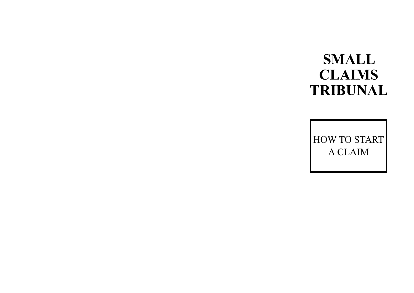# **SMALL CLAIMS TRIBUNAL**

HOW TO START A CLAIM